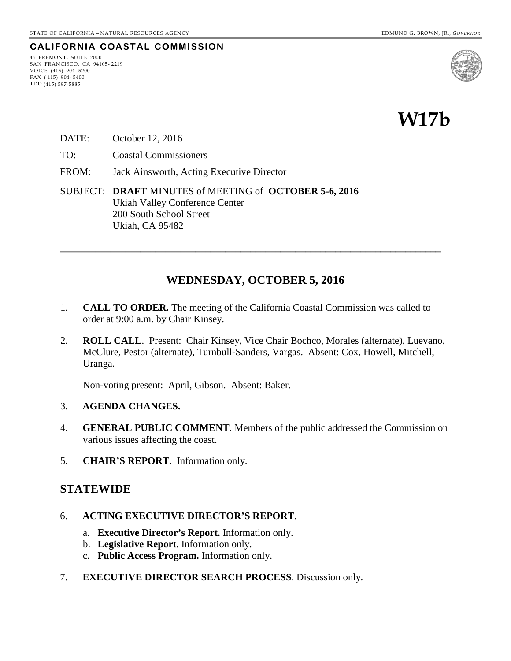## **CALIFORNIA COASTAL COMMISSION**

45 FREMONT, SUITE 2000 SAN FRANCISCO, CA 94105- 2219 VOICE (415) 904- 5200 FAX ( 415) 904- 5400 TDD (415) 597-5885





- DATE: October 12, 2016
- TO: Coastal Commissioners
- FROM: Jack Ainsworth, Acting Executive Director
- SUBJECT: **DRAFT** MINUTES of MEETING of **OCTOBER 5-6, 2016** Ukiah Valley Conference Center 200 South School Street Ukiah, CA 95482

#### **WEDNESDAY, OCTOBER 5, 2016**

**\_\_\_\_\_\_\_\_\_\_\_\_\_\_\_\_\_\_\_\_\_\_\_\_\_\_\_\_\_\_\_\_\_\_\_\_\_\_\_\_\_\_\_\_\_\_\_\_\_\_\_\_\_\_\_\_\_\_\_\_\_\_\_\_\_\_\_\_\_\_\_\_\_\_\_\_** 

- 1. **CALL TO ORDER.** The meeting of the California Coastal Commission was called to order at 9:00 a.m. by Chair Kinsey.
- 2. **ROLL CALL**. Present: Chair Kinsey, Vice Chair Bochco, Morales (alternate), Luevano, McClure, Pestor (alternate), Turnbull-Sanders, Vargas. Absent: Cox, Howell, Mitchell, Uranga.

Non-voting present: April, Gibson. Absent: Baker.

- 3. **AGENDA CHANGES.**
- 4. **GENERAL PUBLIC COMMENT**. Members of the public addressed the Commission on various issues affecting the coast.
- 5. **CHAIR'S REPORT**. Information only.

#### **STATEWIDE**

- 6. **ACTING EXECUTIVE DIRECTOR'S REPORT**.
	- a. **Executive Director's Report.** Information only.
	- b. **Legislative Report.** Information only.
	- c. **Public Access Program.** Information only.
- 7. **EXECUTIVE DIRECTOR SEARCH PROCESS**. Discussion only.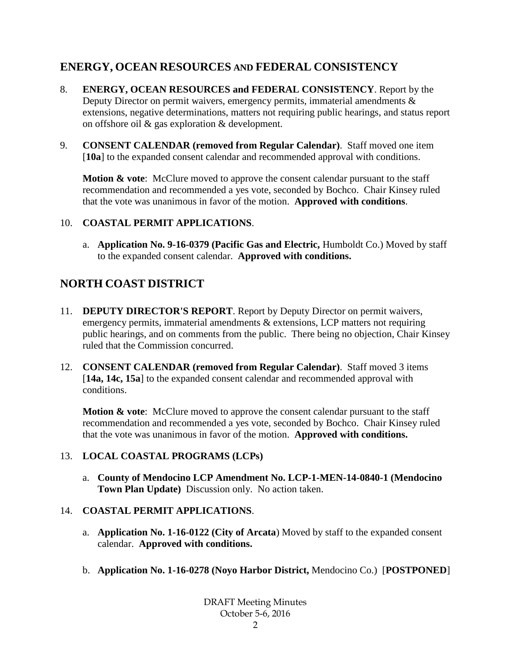## **ENERGY, OCEAN RESOURCES AND FEDERAL CONSISTENCY**

- 8. **ENERGY, OCEAN RESOURCES and FEDERAL CONSISTENCY**. Report by the Deputy Director on permit waivers, emergency permits, immaterial amendments & extensions, negative determinations, matters not requiring public hearings, and status report on offshore oil & gas exploration & development.
- 9. **CONSENT CALENDAR (removed from Regular Calendar)**. Staff moved one item [**10a**] to the expanded consent calendar and recommended approval with conditions.

**Motion & vote:** McClure moved to approve the consent calendar pursuant to the staff recommendation and recommended a yes vote, seconded by Bochco. Chair Kinsey ruled that the vote was unanimous in favor of the motion. **Approved with conditions**.

## 10. **COASTAL PERMIT APPLICATIONS**.

a. **Application No. 9-16-0379 (Pacific Gas and Electric,** Humboldt Co.) Moved by staff to the expanded consent calendar. **Approved with conditions.**

## **NORTH COAST DISTRICT**

- 11. **DEPUTY DIRECTOR'S REPORT**. Report by Deputy Director on permit waivers, emergency permits, immaterial amendments & extensions, LCP matters not requiring public hearings, and on comments from the public. There being no objection, Chair Kinsey ruled that the Commission concurred.
- 12. **CONSENT CALENDAR (removed from Regular Calendar)**. Staff moved 3 items [**14a, 14c, 15a**] to the expanded consent calendar and recommended approval with conditions.

**Motion & vote:** McClure moved to approve the consent calendar pursuant to the staff recommendation and recommended a yes vote, seconded by Bochco. Chair Kinsey ruled that the vote was unanimous in favor of the motion. **Approved with conditions.**

#### 13. **LOCAL COASTAL PROGRAMS (LCPs)**

a. **County of Mendocino LCP Amendment No. LCP-1-MEN-14-0840-1 (Mendocino Town Plan Update)** Discussion only. No action taken.

## 14. **COASTAL PERMIT APPLICATIONS**.

- a. **Application No. 1-16-0122 (City of Arcata**) Moved by staff to the expanded consent calendar. **Approved with conditions.**
- b. **Application No. 1-16-0278 (Noyo Harbor District,** Mendocino Co.) [**POSTPONED**]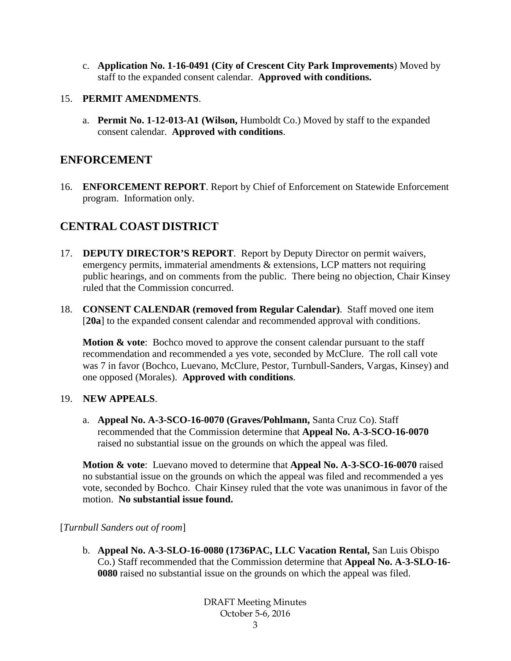c. **Application No. 1-16-0491 (City of Crescent City Park Improvements**) Moved by staff to the expanded consent calendar. **Approved with conditions.**

### 15. **PERMIT AMENDMENTS**.

a. **Permit No. 1-12-013-A1 (Wilson,** Humboldt Co.) Moved by staff to the expanded consent calendar. **Approved with conditions**.

## **ENFORCEMENT**

16. **ENFORCEMENT REPORT**. Report by Chief of Enforcement on Statewide Enforcement program. Information only.

## **CENTRAL COAST DISTRICT**

- 17. **DEPUTY DIRECTOR'S REPORT**. Report by Deputy Director on permit waivers, emergency permits, immaterial amendments & extensions, LCP matters not requiring public hearings, and on comments from the public. There being no objection, Chair Kinsey ruled that the Commission concurred.
- 18. **CONSENT CALENDAR (removed from Regular Calendar)**. Staff moved one item [**20a**] to the expanded consent calendar and recommended approval with conditions.

**Motion & vote:** Bochco moved to approve the consent calendar pursuant to the staff recommendation and recommended a yes vote, seconded by McClure. The roll call vote was 7 in favor (Bochco, Luevano, McClure, Pestor, Turnbull-Sanders, Vargas, Kinsey) and one opposed (Morales). **Approved with conditions**.

#### 19. **NEW APPEALS**.

a. **Appeal No. A-3-SCO-16-0070 (Graves/Pohlmann,** Santa Cruz Co). Staff recommended that the Commission determine that **Appeal No. A-3-SCO-16-0070** raised no substantial issue on the grounds on which the appeal was filed.

**Motion & vote**: Luevano moved to determine that **Appeal No. A-3-SCO-16-0070** raised no substantial issue on the grounds on which the appeal was filed and recommended a yes vote, seconded by Bochco. Chair Kinsey ruled that the vote was unanimous in favor of the motion. **No substantial issue found.**

#### [*Turnbull Sanders out of room*]

b. **Appeal No. A-3-SLO-16-0080 (1736PAC, LLC Vacation Rental,** San Luis Obispo Co.) Staff recommended that the Commission determine that **Appeal No. A-3-SLO-16- 0080** raised no substantial issue on the grounds on which the appeal was filed.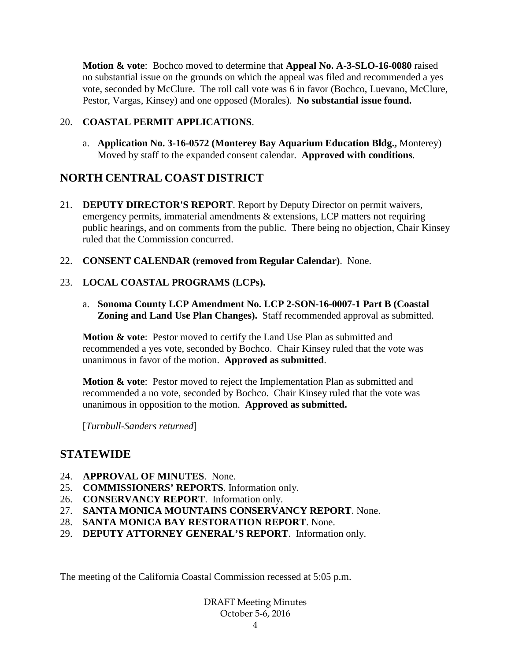**Motion & vote**: Bochco moved to determine that **Appeal No. A-3-SLO-16-0080** raised no substantial issue on the grounds on which the appeal was filed and recommended a yes vote, seconded by McClure. The roll call vote was 6 in favor (Bochco, Luevano, McClure, Pestor, Vargas, Kinsey) and one opposed (Morales). **No substantial issue found.**

#### 20. **COASTAL PERMIT APPLICATIONS**.

a. **Application No. 3-16-0572 (Monterey Bay Aquarium Education Bldg.,** Monterey) Moved by staff to the expanded consent calendar. **Approved with conditions**.

## **NORTH CENTRAL COAST DISTRICT**

- 21. **DEPUTY DIRECTOR'S REPORT**. Report by Deputy Director on permit waivers, emergency permits, immaterial amendments & extensions, LCP matters not requiring public hearings, and on comments from the public. There being no objection, Chair Kinsey ruled that the Commission concurred.
- 22. **CONSENT CALENDAR (removed from Regular Calendar)**. None.

#### 23. **LOCAL COASTAL PROGRAMS (LCPs).**

a. **Sonoma County LCP Amendment No. LCP 2-SON-16-0007-1 Part B (Coastal Zoning and Land Use Plan Changes).** Staff recommended approval as submitted.

**Motion & vote:** Pestor moved to certify the Land Use Plan as submitted and recommended a yes vote, seconded by Bochco. Chair Kinsey ruled that the vote was unanimous in favor of the motion. **Approved as submitted**.

**Motion & vote:** Pestor moved to reject the Implementation Plan as submitted and recommended a no vote, seconded by Bochco. Chair Kinsey ruled that the vote was unanimous in opposition to the motion. **Approved as submitted.**

[*Turnbull-Sanders returned*]

## **STATEWIDE**

- 24. **APPROVAL OF MINUTES**. None.
- 25. **COMMISSIONERS' REPORTS**. Information only.
- 26. **CONSERVANCY REPORT**. Information only.
- 27. **SANTA MONICA MOUNTAINS CONSERVANCY REPORT**. None.
- 28. **SANTA MONICA BAY RESTORATION REPORT**. None.
- 29. **DEPUTY ATTORNEY GENERAL'S REPORT**. Information only.

The meeting of the California Coastal Commission recessed at 5:05 p.m.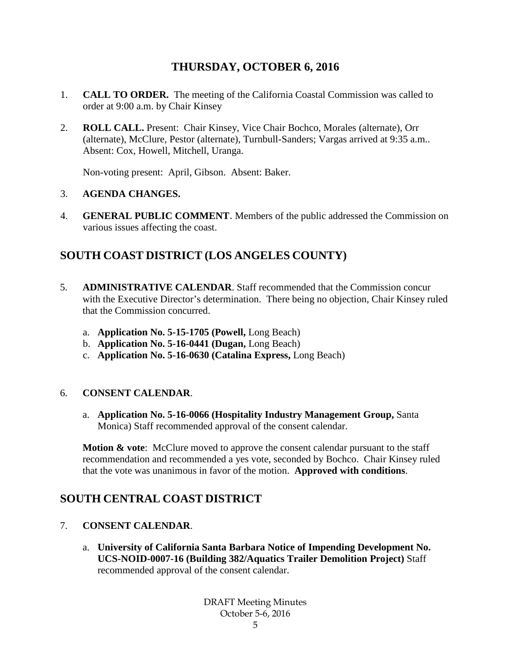## **THURSDAY, OCTOBER 6, 2016**

- 1. **CALL TO ORDER.** The meeting of the California Coastal Commission was called to order at 9:00 a.m. by Chair Kinsey
- 2. **ROLL CALL.** Present: Chair Kinsey, Vice Chair Bochco, Morales (alternate), Orr (alternate), McClure, Pestor (alternate), Turnbull-Sanders; Vargas arrived at 9:35 a.m.. Absent: Cox, Howell, Mitchell, Uranga.

Non-voting present: April, Gibson. Absent: Baker.

## 3. **AGENDA CHANGES.**

4. **GENERAL PUBLIC COMMENT**. Members of the public addressed the Commission on various issues affecting the coast.

# **SOUTH COAST DISTRICT (LOS ANGELES COUNTY)**

- 5. **ADMINISTRATIVE CALENDAR**. Staff recommended that the Commission concur with the Executive Director's determination. There being no objection, Chair Kinsey ruled that the Commission concurred.
	- a. **Application No. 5-15-1705 (Powell,** Long Beach)
	- b. **Application No. 5-16-0441 (Dugan,** Long Beach)
	- c. **Application No. 5-16-0630 (Catalina Express,** Long Beach)

## 6. **CONSENT CALENDAR**.

a. **Application No. 5-16-0066 (Hospitality Industry Management Group,** Santa Monica) Staff recommended approval of the consent calendar.

**Motion & vote:** McClure moved to approve the consent calendar pursuant to the staff recommendation and recommended a yes vote, seconded by Bochco. Chair Kinsey ruled that the vote was unanimous in favor of the motion. **Approved with conditions**.

## **SOUTH CENTRAL COAST DISTRICT**

- 7. **CONSENT CALENDAR**.
	- a. **University of California Santa Barbara Notice of Impending Development No. UCS-NOID-0007-16 (Building 382/Aquatics Trailer Demolition Project)** Staff recommended approval of the consent calendar.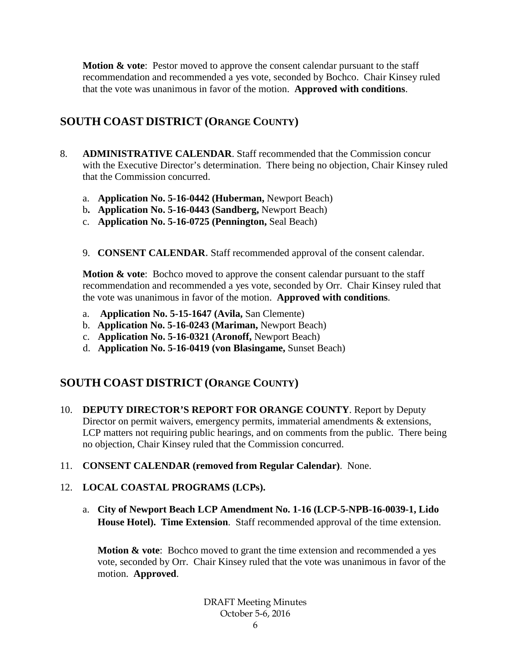**Motion & vote**: Pestor moved to approve the consent calendar pursuant to the staff recommendation and recommended a yes vote, seconded by Bochco. Chair Kinsey ruled that the vote was unanimous in favor of the motion. **Approved with conditions**.

## **SOUTH COAST DISTRICT (ORANGE COUNTY)**

- 8. **ADMINISTRATIVE CALENDAR**. Staff recommended that the Commission concur with the Executive Director's determination. There being no objection, Chair Kinsey ruled that the Commission concurred.
	- a. **Application No. 5-16-0442 (Huberman,** Newport Beach)
	- b**. Application No. 5-16-0443 (Sandberg,** Newport Beach)
	- c. **Application No. 5-16-0725 (Pennington,** Seal Beach)
	- 9. **CONSENT CALENDAR**. Staff recommended approval of the consent calendar.

**Motion & vote:** Bochco moved to approve the consent calendar pursuant to the staff recommendation and recommended a yes vote, seconded by Orr. Chair Kinsey ruled that the vote was unanimous in favor of the motion. **Approved with conditions**.

- a. **Application No. 5-15-1647 (Avila,** San Clemente)
- b. **Application No. 5-16-0243 (Mariman,** Newport Beach)
- c. **Application No. 5-16-0321 (Aronoff,** Newport Beach)
- d. **Application No. 5-16-0419 (von Blasingame,** Sunset Beach)

# **SOUTH COAST DISTRICT (ORANGE COUNTY)**

- 10. **DEPUTY DIRECTOR'S REPORT FOR ORANGE COUNTY**. Report by Deputy Director on permit waivers, emergency permits, immaterial amendments & extensions, LCP matters not requiring public hearings, and on comments from the public. There being no objection, Chair Kinsey ruled that the Commission concurred.
- 11. **CONSENT CALENDAR (removed from Regular Calendar)**. None.

## 12. **LOCAL COASTAL PROGRAMS (LCPs).**

a. **City of Newport Beach LCP Amendment No. 1-16 (LCP-5-NPB-16-0039-1, Lido House Hotel). Time Extension**. Staff recommended approval of the time extension.

**Motion & vote:** Bochco moved to grant the time extension and recommended a yes vote, seconded by Orr. Chair Kinsey ruled that the vote was unanimous in favor of the motion. **Approved**.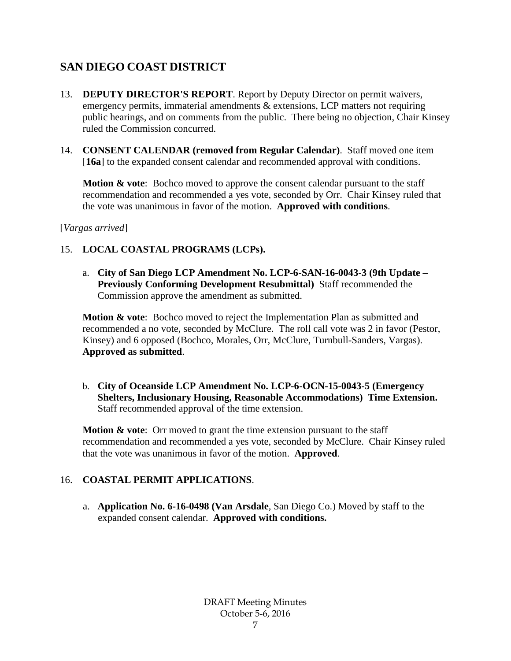# **SAN DIEGO COAST DISTRICT**

- 13. **DEPUTY DIRECTOR'S REPORT**. Report by Deputy Director on permit waivers, emergency permits, immaterial amendments & extensions, LCP matters not requiring public hearings, and on comments from the public. There being no objection, Chair Kinsey ruled the Commission concurred.
- 14. **CONSENT CALENDAR (removed from Regular Calendar)**. Staff moved one item [16a] to the expanded consent calendar and recommended approval with conditions.

**Motion & vote:** Bochco moved to approve the consent calendar pursuant to the staff recommendation and recommended a yes vote, seconded by Orr. Chair Kinsey ruled that the vote was unanimous in favor of the motion. **Approved with conditions**.

[*Vargas arrived*]

## 15. **LOCAL COASTAL PROGRAMS (LCPs).**

a. **City of San Diego LCP Amendment No. LCP-6-SAN-16-0043-3 (9th Update – Previously Conforming Development Resubmittal)** Staff recommended the Commission approve the amendment as submitted.

**Motion & vote**: Bochco moved to reject the Implementation Plan as submitted and recommended a no vote, seconded by McClure. The roll call vote was 2 in favor (Pestor, Kinsey) and 6 opposed (Bochco, Morales, Orr, McClure, Turnbull-Sanders, Vargas). **Approved as submitted**.

b. **City of Oceanside LCP Amendment No. LCP-6-OCN-15-0043-5 (Emergency Shelters, Inclusionary Housing, Reasonable Accommodations) Time Extension.**  Staff recommended approval of the time extension.

**Motion & vote:** Orr moved to grant the time extension pursuant to the staff recommendation and recommended a yes vote, seconded by McClure. Chair Kinsey ruled that the vote was unanimous in favor of the motion. **Approved**.

## 16. **COASTAL PERMIT APPLICATIONS**.

a. **Application No. 6-16-0498 (Van Arsdale**, San Diego Co.) Moved by staff to the expanded consent calendar. **Approved with conditions.**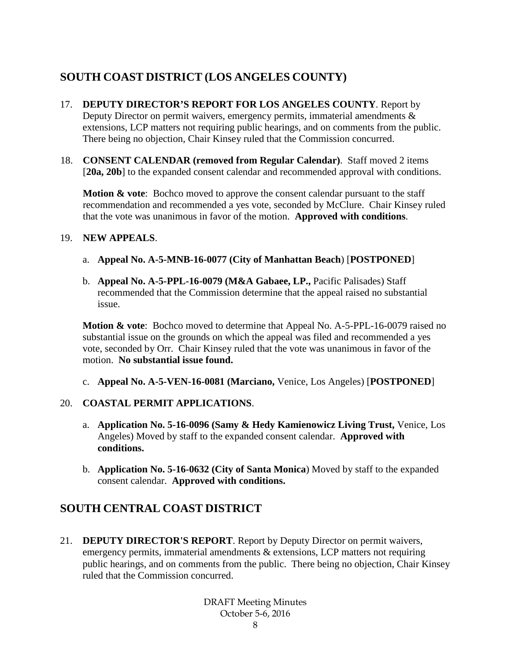# **SOUTH COAST DISTRICT (LOS ANGELES COUNTY)**

- 17. **DEPUTY DIRECTOR'S REPORT FOR LOS ANGELES COUNTY**. Report by Deputy Director on permit waivers, emergency permits, immaterial amendments  $\&$ extensions, LCP matters not requiring public hearings, and on comments from the public. There being no objection, Chair Kinsey ruled that the Commission concurred.
- 18. **CONSENT CALENDAR (removed from Regular Calendar)**. Staff moved 2 items [20a, 20b] to the expanded consent calendar and recommended approval with conditions.

**Motion & vote:** Bochco moved to approve the consent calendar pursuant to the staff recommendation and recommended a yes vote, seconded by McClure. Chair Kinsey ruled that the vote was unanimous in favor of the motion. **Approved with conditions**.

#### 19. **NEW APPEALS**.

- a. **Appeal No. A-5-MNB-16-0077 (City of Manhattan Beach**) [**POSTPONED**]
- b. **Appeal No. A-5-PPL-16-0079 (M&A Gabaee, LP.,** Pacific Palisades) Staff recommended that the Commission determine that the appeal raised no substantial issue.

**Motion & vote**: Bochco moved to determine that Appeal No. A-5-PPL-16-0079 raised no substantial issue on the grounds on which the appeal was filed and recommended a yes vote, seconded by Orr. Chair Kinsey ruled that the vote was unanimous in favor of the motion. **No substantial issue found.**

c. **Appeal No. A-5-VEN-16-0081 (Marciano,** Venice, Los Angeles) [**POSTPONED**]

## 20. **COASTAL PERMIT APPLICATIONS**.

- a. **Application No. 5-16-0096 (Samy & Hedy Kamienowicz Living Trust,** Venice, Los Angeles) Moved by staff to the expanded consent calendar. **Approved with conditions.**
- b. **Application No. 5-16-0632 (City of Santa Monica**) Moved by staff to the expanded consent calendar. **Approved with conditions.**

# **SOUTH CENTRAL COAST DISTRICT**

21. **DEPUTY DIRECTOR'S REPORT**. Report by Deputy Director on permit waivers, emergency permits, immaterial amendments & extensions, LCP matters not requiring public hearings, and on comments from the public. There being no objection, Chair Kinsey ruled that the Commission concurred.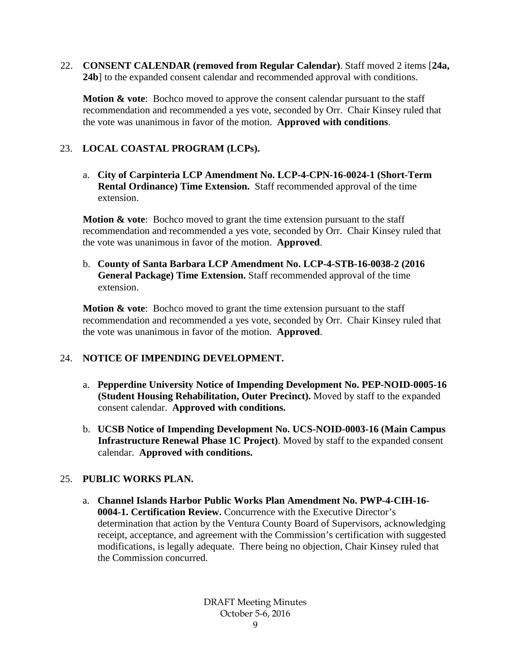22. **CONSENT CALENDAR (removed from Regular Calendar)**. Staff moved 2 items [**24a, 24b**] to the expanded consent calendar and recommended approval with conditions.

**Motion & vote:** Bochco moved to approve the consent calendar pursuant to the staff recommendation and recommended a yes vote, seconded by Orr. Chair Kinsey ruled that the vote was unanimous in favor of the motion. **Approved with conditions**.

## 23. **LOCAL COASTAL PROGRAM (LCPs).**

a. **City of Carpinteria LCP Amendment No. LCP-4-CPN-16-0024-1 (Short-Term Rental Ordinance) Time Extension.** Staff recommended approval of the time extension.

**Motion & vote:** Bochco moved to grant the time extension pursuant to the staff recommendation and recommended a yes vote, seconded by Orr. Chair Kinsey ruled that the vote was unanimous in favor of the motion. **Approved**.

b. **County of Santa Barbara LCP Amendment No. LCP-4-STB-16-0038-2 (2016 General Package) Time Extension.** Staff recommended approval of the time extension.

**Motion & vote:** Bochco moved to grant the time extension pursuant to the staff recommendation and recommended a yes vote, seconded by Orr. Chair Kinsey ruled that the vote was unanimous in favor of the motion. **Approved**.

## 24. **NOTICE OF IMPENDING DEVELOPMENT.**

- a. **Pepperdine University Notice of Impending Development No. PEP-NOID-0005-16 (Student Housing Rehabilitation, Outer Precinct).** Moved by staff to the expanded consent calendar. **Approved with conditions.**
- b. **UCSB Notice of Impending Development No. UCS-NOID-0003-16 (Main Campus Infrastructure Renewal Phase 1C Project)**. Moved by staff to the expanded consent calendar. **Approved with conditions.**

## 25. **PUBLIC WORKS PLAN.**

a. **Channel Islands Harbor Public Works Plan Amendment No. PWP-4-CIH-16- 0004-1. Certification Review.** Concurrence with the Executive Director's determination that action by the Ventura County Board of Supervisors, acknowledging receipt, acceptance, and agreement with the Commission's certification with suggested modifications, is legally adequate. There being no objection, Chair Kinsey ruled that the Commission concurred.